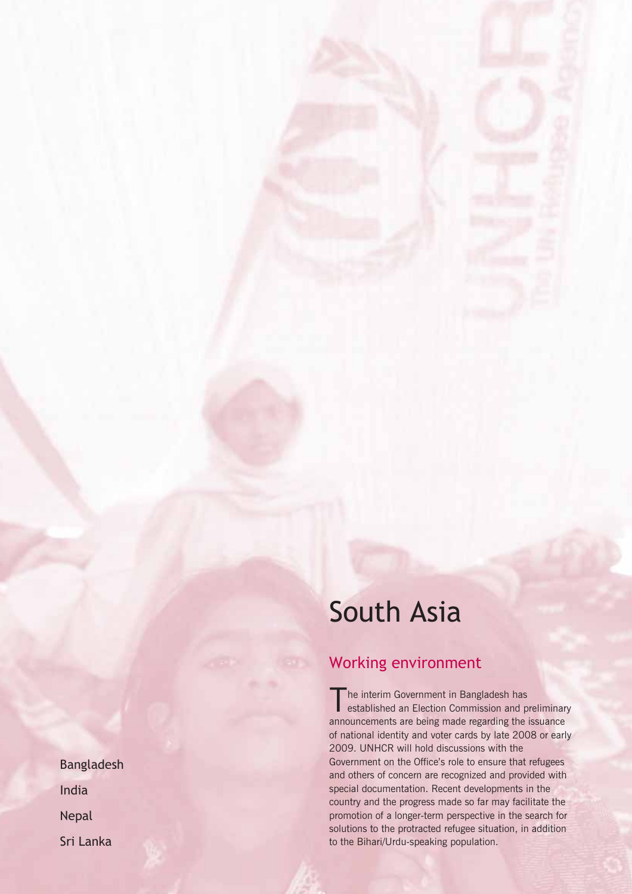# South Asia

## Working environment

The interim Government in Bangladesh has<br>established an Election Commission and preliminary announcements are being made regarding the issuance of national identity and voter cards by late 2008 or early 2009. UNHCR will hold discussions with the Government on the Office's role to ensure that refugees and others of concern are recognized and provided with special documentation. Recent developments in the country and the progress made so far may facilitate the promotion of a longer-term perspective in the search for solutions to the protracted refugee situation, in addition to the Bihari/Urdu-speaking population.

Bangladesh India Nepal Sri Lanka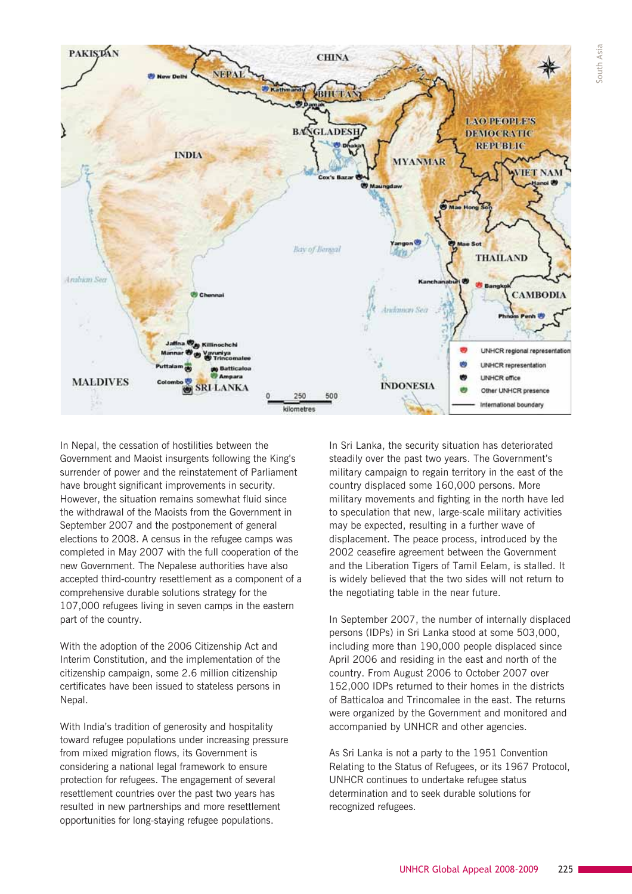

In Nepal, the cessation of hostilities between the Government and Maoist insurgents following the King's surrender of power and the reinstatement of Parliament have brought significant improvements in security. However, the situation remains somewhat fluid since the withdrawal of the Maoists from the Government in September 2007 and the postponement of general elections to 2008. A census in the refugee camps was completed in May 2007 with the full cooperation of the new Government. The Nepalese authorities have also accepted third-country resettlement as a component of a comprehensive durable solutions strategy for the 107,000 refugees living in seven camps in the eastern part of the country.

With the adoption of the 2006 Citizenship Act and Interim Constitution, and the implementation of the citizenship campaign, some 2.6 million citizenship certificates have been issued to stateless persons in Nepal.

With India's tradition of generosity and hospitality toward refugee populations under increasing pressure from mixed migration flows, its Government is considering a national legal framework to ensure protection for refugees. The engagement of several resettlement countries over the past two years has resulted in new partnerships and more resettlement opportunities for long-staying refugee populations.

In Sri Lanka, the security situation has deteriorated steadily over the past two years. The Government's military campaign to regain territory in the east of the country displaced some 160,000 persons. More military movements and fighting in the north have led to speculation that new, large-scale military activities may be expected, resulting in a further wave of displacement. The peace process, introduced by the 2002 ceasefire agreement between the Government and the Liberation Tigers of Tamil Eelam, is stalled. It is widely believed that the two sides will not return to the negotiating table in the near future.

In September 2007, the number of internally displaced persons (IDPs) in Sri Lanka stood at some 503,000, including more than 190,000 people displaced since April 2006 and residing in the east and north of the country. From August 2006 to October 2007 over 152,000 IDPs returned to their homes in the districts of Batticaloa and Trincomalee in the east. The returns were organized by the Government and monitored and accompanied by UNHCR and other agencies.

As Sri Lanka is not a party to the 1951 Convention Relating to the Status of Refugees, or its 1967 Protocol, UNHCR continues to undertake refugee status determination and to seek durable solutions for recognized refugees.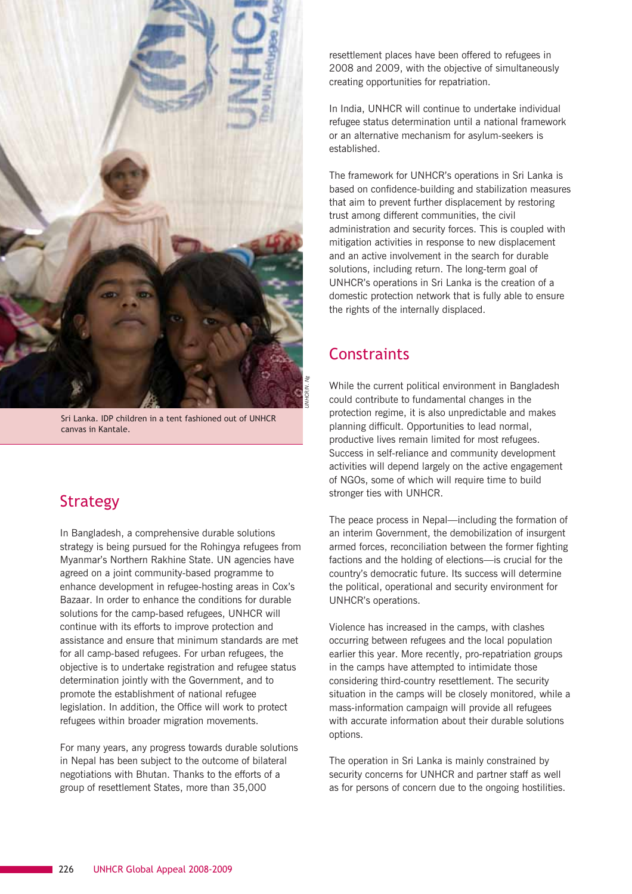

Sri Lanka. IDP children in a tent fashioned out of UNHCR canvas in Kantale.

#### Strategy

In Bangladesh, a comprehensive durable solutions strategy is being pursued for the Rohingya refugees from Myanmar's Northern Rakhine State. UN agencies have agreed on a joint community-based programme to enhance development in refugee-hosting areas in Cox's Bazaar. In order to enhance the conditions for durable solutions for the camp-based refugees, UNHCR will continue with its efforts to improve protection and assistance and ensure that minimum standards are met for all camp-based refugees. For urban refugees, the objective is to undertake registration and refugee status determination jointly with the Government, and to promote the establishment of national refugee legislation. In addition, the Office will work to protect refugees within broader migration movements.

For many years, any progress towards durable solutions in Nepal has been subject to the outcome of bilateral negotiations with Bhutan. Thanks to the efforts of a group of resettlement States, more than 35,000

resettlement places have been offered to refugees in 2008 and 2009, with the objective of simultaneously creating opportunities for repatriation.

In India, UNHCR will continue to undertake individual refugee status determination until a national framework or an alternative mechanism for asylum-seekers is established.

The framework for UNHCR's operations in Sri Lanka is based on confidence-building and stabilization measures that aim to prevent further displacement by restoring trust among different communities, the civil administration and security forces. This is coupled with mitigation activities in response to new displacement and an active involvement in the search for durable solutions, including return. The long-term goal of UNHCR's operations in Sri Lanka is the creation of a domestic protection network that is fully able to ensure the rights of the internally displaced.

### **Constraints**

While the current political environment in Bangladesh could contribute to fundamental changes in the protection regime, it is also unpredictable and makes planning difficult. Opportunities to lead normal, productive lives remain limited for most refugees. Success in self-reliance and community development activities will depend largely on the active engagement of NGOs, some of which will require time to build stronger ties with UNHCR.

The peace process in Nepal—including the formation of an interim Government, the demobilization of insurgent armed forces, reconciliation between the former fighting factions and the holding of elections—is crucial for the country's democratic future. Its success will determine the political, operational and security environment for UNHCR's operations.

Violence has increased in the camps, with clashes occurring between refugees and the local population earlier this year. More recently, pro-repatriation groups in the camps have attempted to intimidate those considering third-country resettlement. The security situation in the camps will be closely monitored, while a mass-information campaign will provide all refugees with accurate information about their durable solutions options.

The operation in Sri Lanka is mainly constrained by security concerns for UNHCR and partner staff as well as for persons of concern due to the ongoing hostilities.